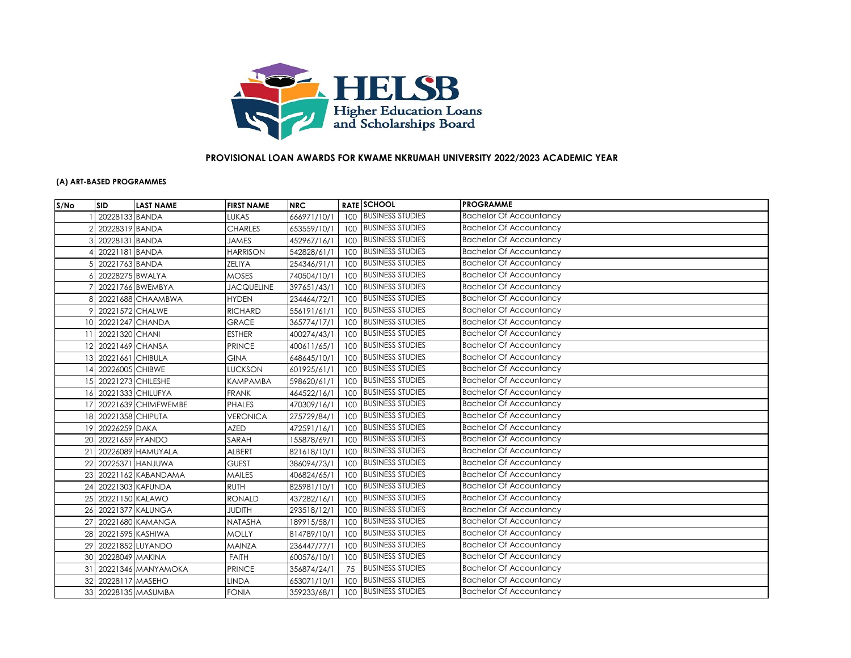

## **PROVISIONAL LOAN AWARDS FOR KWAME NKRUMAH UNIVERSITY 2022/2023 ACADEMIC YEAR**

## **(A) ART-BASED PROGRAMMES**

| S/No            | <b>SID</b>          | <b>LAST NAME</b>    | <b>FIRST NAME</b> | <b>NRC</b>  |     | <b>RATE SCHOOL</b>      | <b>PROGRAMME</b>               |
|-----------------|---------------------|---------------------|-------------------|-------------|-----|-------------------------|--------------------------------|
|                 | 20228133 BANDA      |                     | LUKAS             | 666971/10/1 |     | 100 BUSINESS STUDIES    | <b>Bachelor Of Accountancy</b> |
|                 | 20228319 BANDA      |                     | <b>CHARLES</b>    | 653559/10/1 |     | 100 BUSINESS STUDIES    | <b>Bachelor Of Accountancy</b> |
|                 | 20228131 BANDA      |                     | <b>JAMES</b>      | 452967/16/1 |     | 100 BUSINESS STUDIES    | <b>Bachelor Of Accountancy</b> |
|                 | 20221181 BANDA      |                     | <b>HARRISON</b>   | 542828/61/1 | 100 | <b>BUSINESS STUDIES</b> | <b>Bachelor Of Accountancy</b> |
|                 | 20221763 BANDA      |                     | <b>ZELIYA</b>     | 254346/91/1 | 100 | <b>BUSINESS STUDIES</b> | <b>Bachelor Of Accountancy</b> |
|                 | 20228275 BWALYA     |                     | <b>MOSES</b>      | 740504/10/1 |     | 100 BUSINESS STUDIES    | <b>Bachelor Of Accountancy</b> |
|                 |                     | 20221766 BWEMBYA    | <b>JACQUELINE</b> | 397651/43/1 |     | 100 BUSINESS STUDIES    | <b>Bachelor Of Accountancy</b> |
|                 |                     | 20221688 CHAAMBWA   | <b>HYDEN</b>      | 234464/72/1 |     | 100 BUSINESS STUDIES    | <b>Bachelor Of Accountancy</b> |
|                 | 20221572 CHALWE     |                     | <b>RICHARD</b>    | 556191/61/1 |     | 100 BUSINESS STUDIES    | <b>Bachelor Of Accountancy</b> |
| 10              | 20221247 CHANDA     |                     | <b>GRACE</b>      | 365774/17/1 |     | 100 BUSINESS STUDIES    | <b>Bachelor Of Accountancy</b> |
| 11              | 20221320 CHANI      |                     | <b>ESTHER</b>     | 400274/43/1 |     | 100 BUSINESS STUDIES    | <b>Bachelor Of Accountancy</b> |
|                 | 12 20221469 CHANSA  |                     | <b>PRINCE</b>     | 400611/65/1 |     | 100 BUSINESS STUDIES    | <b>Bachelor Of Accountancy</b> |
| 13 <sup>l</sup> | 20221661 CHIBULA    |                     | <b>GINA</b>       | 648645/10/1 |     | 100 BUSINESS STUDIES    | <b>Bachelor Of Accountancy</b> |
| 14              | 20226005 CHIBWE     |                     | <b>LUCKSON</b>    | 601925/61/1 |     | 100 BUSINESS STUDIES    | <b>Bachelor Of Accountancy</b> |
| 15              | 20221273 CHILESHE   |                     | <b>KAMPAMBA</b>   | 598620/61/1 |     | 100 BUSINESS STUDIES    | <b>Bachelor Of Accountancy</b> |
| 16              |                     | 20221333 CHILUFYA   | <b>FRANK</b>      | 464522/16/1 |     | 100 BUSINESS STUDIES    | <b>Bachelor Of Accountancy</b> |
| 17              |                     | 20221639 CHIMFWEMBE | <b>PHALES</b>     | 470309/16/1 |     | 100 BUSINESS STUDIES    | <b>Bachelor Of Accountancy</b> |
|                 | 18 20221358 CHIPUTA |                     | <b>VERONICA</b>   | 275729/84/1 |     | 100 BUSINESS STUDIES    | <b>Bachelor Of Accountancy</b> |
| 19              | 20226259 DAKA       |                     | <b>AZED</b>       | 472591/16/1 |     | 100 BUSINESS STUDIES    | <b>Bachelor Of Accountancy</b> |
| 20              | 20221659 FYANDO     |                     | SARAH             | 155878/69/1 |     | 100 BUSINESS STUDIES    | <b>Bachelor Of Accountancy</b> |
| 21              |                     | 20226089 HAMUYALA   | ALBERT            | 821618/10/1 | 100 | <b>BUSINESS STUDIES</b> | <b>Bachelor Of Accountancy</b> |
| 22              |                     | 20225371 HANJUWA    | <b>GUEST</b>      | 386094/73/1 |     | 100 BUSINESS STUDIES    | <b>Bachelor Of Accountancy</b> |
| 23              |                     | 20221162 KABANDAMA  | <b>MAILES</b>     | 406824/65/1 |     | 100 BUSINESS STUDIES    | <b>Bachelor Of Accountancy</b> |
| 24              | 20221303 KAFUNDA    |                     | <b>RUTH</b>       | 825981/10/1 |     | 100 BUSINESS STUDIES    | <b>Bachelor Of Accountancy</b> |
| 25              | 20221150 KALAWO     |                     | <b>RONALD</b>     | 437282/16/1 | 100 | <b>BUSINESS STUDIES</b> | <b>Bachelor Of Accountancy</b> |
| 26              |                     | 20221377 KALUNGA    | <b>JUDITH</b>     | 293518/12/1 |     | 100 BUSINESS STUDIES    | <b>Bachelor Of Accountancy</b> |
| 27              |                     | 20221680 KAMANGA    | NATASHA           | 189915/58/1 |     | 100 BUSINESS STUDIES    | <b>Bachelor Of Accountancy</b> |
| 28              | 20221595 KASHIWA    |                     | <b>MOLLY</b>      | 814789/10/1 |     | 100 BUSINESS STUDIES    | <b>Bachelor Of Accountancy</b> |
| 29              |                     | 20221852 LUYANDO    | MAINZA            | 236447/77/1 |     | 100 BUSINESS STUDIES    | <b>Bachelor Of Accountancy</b> |
| 30              | 20228049 MAKINA     |                     | <b>FAITH</b>      | 600576/10/1 |     | 100 BUSINESS STUDIES    | <b>Bachelor Of Accountancy</b> |
| 31              |                     | 20221346 MANYAMOKA  | <b>PRINCE</b>     | 356874/24/1 | 75  | <b>BUSINESS STUDIES</b> | <b>Bachelor Of Accountancy</b> |
| 32              | 20228117 MASEHO     |                     | <b>LINDA</b>      | 653071/10/1 | 100 | <b>BUSINESS STUDIES</b> | <b>Bachelor Of Accountancy</b> |
|                 |                     | 33 20228135 MASUMBA | <b>FONIA</b>      | 359233/68/1 |     | 100 BUSINESS STUDIES    | <b>Bachelor Of Accountancy</b> |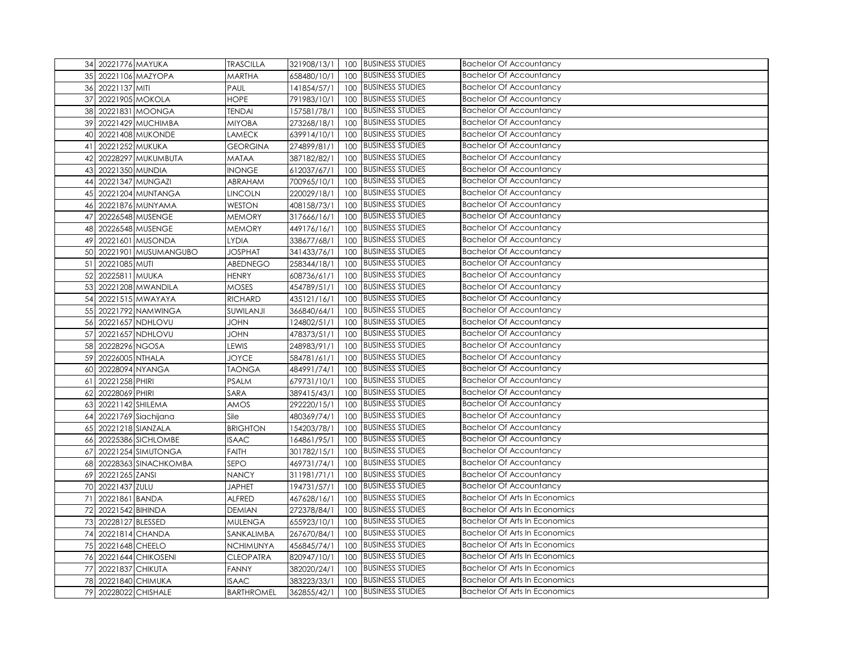| 34 20221776 MAYUKA         | <b>TRASCILLA</b>  | 321908/13/1 |     | 100 BUSINESS STUDIES    | <b>Bachelor Of Accountancy</b>       |
|----------------------------|-------------------|-------------|-----|-------------------------|--------------------------------------|
| 35 20221106 MAZYOPA        | MARTHA            | 658480/10/1 | 100 | <b>BUSINESS STUDIES</b> | <b>Bachelor Of Accountancy</b>       |
| 36 20221137 MITI           | PAUL              | 141854/57/1 | 100 | <b>BUSINESS STUDIES</b> | <b>Bachelor Of Accountancy</b>       |
| 37<br>20221905 MOKOLA      | <b>HOPE</b>       | 791983/10/1 | 100 | <b>BUSINESS STUDIES</b> | <b>Bachelor Of Accountancy</b>       |
| 38 20221831 MOONGA         | <b>TENDAI</b>     | 157581/78/1 | 100 | <b>BUSINESS STUDIES</b> | <b>Bachelor Of Accountancy</b>       |
| 20221429 MUCHIMBA<br>39    | MIYOBA            | 273268/18/1 | 100 | <b>BUSINESS STUDIES</b> | <b>Bachelor Of Accountancy</b>       |
| 20221408 MUKONDE<br>40     | LAMECK            | 639914/10/1 | 100 | <b>BUSINESS STUDIES</b> | Bachelor Of Accountancy              |
| 20221252 MUKUKA<br>41      | <b>GEORGINA</b>   | 274899/81/1 | 100 | <b>BUSINESS STUDIES</b> | <b>Bachelor Of Accountancy</b>       |
| 20228297 MUKUMBUTA<br>42   | MATAA             | 387182/82/1 | 100 | <b>BUSINESS STUDIES</b> | <b>Bachelor Of Accountancy</b>       |
| 43 20221350 MUNDIA         | <b>INONGE</b>     | 612037/67/1 | 100 | <b>BUSINESS STUDIES</b> | <b>Bachelor Of Accountancy</b>       |
| 20221347 MUNGAZI<br>44     | ABRAHAM           | 700965/10/1 | 100 | <b>BUSINESS STUDIES</b> | <b>Bachelor Of Accountancy</b>       |
| 20221204 MUNTANGA<br>45    | <b>LINCOLN</b>    | 220029/18/1 | 100 | <b>BUSINESS STUDIES</b> | <b>Bachelor Of Accountancy</b>       |
| 20221876 MUNYAMA<br>46     | WESTON            | 408158/73/1 | 100 | <b>BUSINESS STUDIES</b> | <b>Bachelor Of Accountancy</b>       |
| 20226548 MUSENGE<br>47     | MEMORY            | 317666/16/1 | 100 | <b>BUSINESS STUDIES</b> | <b>Bachelor Of Accountancy</b>       |
| 20226548 MUSENGE<br>48     | <b>MEMORY</b>     | 449176/16/1 | 100 | <b>BUSINESS STUDIES</b> | <b>Bachelor Of Accountancy</b>       |
| 20221601 MUSONDA<br>49     | <b>LYDIA</b>      | 338677/68/1 | 100 | <b>BUSINESS STUDIES</b> | <b>Bachelor Of Accountancy</b>       |
| 20221901 MUSUMANGUBO<br>50 | <b>JOSPHAT</b>    | 341433/76/1 | 100 | <b>BUSINESS STUDIES</b> | <b>Bachelor Of Accountancy</b>       |
| 20221085 MUTI<br>51        | ABEDNEGO          | 258344/18/1 | 100 | <b>BUSINESS STUDIES</b> | <b>Bachelor Of Accountancy</b>       |
| 52 20225811 MUUKA          | <b>HENRY</b>      | 608736/61/1 | 100 | <b>BUSINESS STUDIES</b> | <b>Bachelor Of Accountancy</b>       |
| 53<br>20221208 MWANDILA    | MOSES             | 454789/51/1 | 100 | <b>BUSINESS STUDIES</b> | <b>Bachelor Of Accountancy</b>       |
| 54 20221515 MWAYAYA        | <b>RICHARD</b>    | 435121/16/1 | 100 | <b>BUSINESS STUDIES</b> | <b>Bachelor Of Accountancy</b>       |
| 55 20221792 NAMWINGA       | SUWILANJI         | 366840/64/1 | 100 | <b>BUSINESS STUDIES</b> | <b>Bachelor Of Accountancy</b>       |
| 20221657 NDHLOVU<br>56     | <b>JOHN</b>       | 124802/51/1 | 100 | <b>BUSINESS STUDIES</b> | <b>Bachelor Of Accountancy</b>       |
| 57<br>20221657 NDHLOVU     | <b>UHOL</b>       | 478373/51/1 | 100 | <b>BUSINESS STUDIES</b> | <b>Bachelor Of Accountancy</b>       |
| 20228296 NGOSA<br>58       | LEWIS             | 248983/91/1 | 100 | <b>BUSINESS STUDIES</b> | <b>Bachelor Of Accountancy</b>       |
| 59<br>20226005 NTHALA      | <b>JOYCE</b>      | 584781/61/1 | 100 | <b>BUSINESS STUDIES</b> | <b>Bachelor Of Accountancy</b>       |
| 20228094 NYANGA<br>60      | <b>TAONGA</b>     | 484991/74/1 | 100 | <b>BUSINESS STUDIES</b> | <b>Bachelor Of Accountancy</b>       |
| 20221258 PHIRI<br>61       | <b>PSALM</b>      | 679731/10/1 | 100 | <b>BUSINESS STUDIES</b> | <b>Bachelor Of Accountancy</b>       |
| 20228069 PHIRI<br>62       | SARA              | 389415/43/1 | 100 | <b>BUSINESS STUDIES</b> | <b>Bachelor Of Accountancy</b>       |
| 20221142 SHILEMA<br>63     | AMOS              | 292220/15/1 | 100 | <b>BUSINESS STUDIES</b> | <b>Bachelor Of Accountancy</b>       |
| 20221769 Siachijana<br>64  | Sile              | 480369/74/1 | 100 | <b>BUSINESS STUDIES</b> | <b>Bachelor Of Accountancy</b>       |
| 20221218 SIANZALA<br>65    | <b>BRIGHTON</b>   | 154203/78/1 | 100 | <b>BUSINESS STUDIES</b> | <b>Bachelor Of Accountancy</b>       |
| 20225386 SICHLOMBE<br>66   | <b>ISAAC</b>      | 164861/95/1 | 100 | <b>BUSINESS STUDIES</b> | <b>Bachelor Of Accountancy</b>       |
| 20221254 SIMUTONGA<br>67   | <b>FAITH</b>      | 301782/15/1 | 100 | <b>BUSINESS STUDIES</b> | <b>Bachelor Of Accountancy</b>       |
| 20228363 SINACHKOMBA<br>68 | SEPO              | 469731/74/1 | 100 | <b>BUSINESS STUDIES</b> | <b>Bachelor Of Accountancy</b>       |
| 20221265 ZANSI<br>69       | <b>NANCY</b>      | 311981/71/1 | 100 | <b>BUSINESS STUDIES</b> | <b>Bachelor Of Accountancy</b>       |
| 70 20221437 ZULU           | <b>JAPHET</b>     | 194731/57/1 | 100 | <b>BUSINESS STUDIES</b> | <b>Bachelor Of Accountancy</b>       |
| 20221861 BANDA<br>71       | ALFRED            | 467628/16/1 | 100 | <b>BUSINESS STUDIES</b> | <b>Bachelor Of Arts In Economics</b> |
| 72 20221542 BIHINDA        | <b>DEMIAN</b>     | 272378/84/1 | 100 | <b>BUSINESS STUDIES</b> | <b>Bachelor Of Arts In Economics</b> |
| 73<br>20228127 BLESSED     | <b>MULENGA</b>    | 655923/10/1 | 100 | <b>BUSINESS STUDIES</b> | <b>Bachelor Of Arts In Economics</b> |
| 20221814 CHANDA<br>74      | SANKALIMBA        | 267670/84/1 | 100 | <b>BUSINESS STUDIES</b> | <b>Bachelor Of Arts In Economics</b> |
| 75 20221648 CHEELO         | <b>NCHIMUNYA</b>  | 456845/74/1 | 100 | <b>BUSINESS STUDIES</b> | <b>Bachelor Of Arts In Economics</b> |
| 76 20221644 CHIKOSENI      | <b>CLEOPATRA</b>  | 820947/10/1 | 100 | <b>BUSINESS STUDIES</b> | Bachelor Of Arts In Economics        |
| 77<br>20221837 CHIKUTA     | <b>FANNY</b>      | 382020/24/1 | 100 | <b>BUSINESS STUDIES</b> | <b>Bachelor Of Arts In Economics</b> |
| 78 20221840 CHIMUKA        | <b>ISAAC</b>      | 383223/33/1 | 100 | <b>BUSINESS STUDIES</b> | <b>Bachelor Of Arts In Economics</b> |
| 79 20228022 CHISHALE       | <b>BARTHROMEL</b> | 362855/42/1 |     | 100 BUSINESS STUDIES    | <b>Bachelor Of Arts In Economics</b> |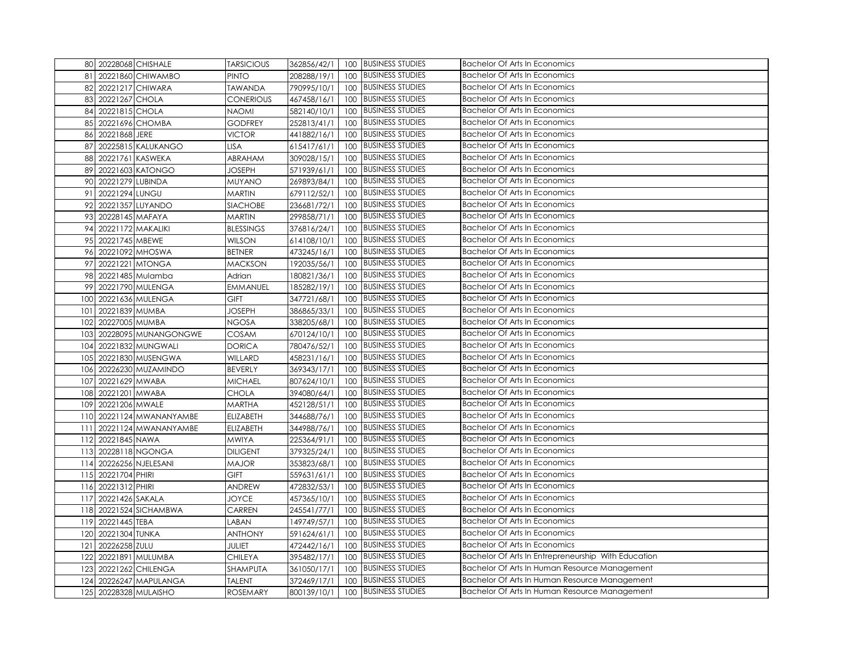|     | 80 20228068 CHISHALE     | <b>TARSICIOUS</b> | 362856/42/1 |     | 100 BUSINESS STUDIES    | <b>Bachelor Of Arts In Economics</b>                |
|-----|--------------------------|-------------------|-------------|-----|-------------------------|-----------------------------------------------------|
| 81  | 20221860 CHIWAMBO        | <b>PINTO</b>      | 208288/19/1 | 100 | <b>BUSINESS STUDIES</b> | <b>Bachelor Of Arts In Economics</b>                |
|     | 82 20221217 CHIWARA      | <b>TAWANDA</b>    | 790995/10/1 | 100 | <b>BUSINESS STUDIES</b> | <b>Bachelor Of Arts In Economics</b>                |
|     | 83 20221267 CHOLA        | <b>CONERIOUS</b>  | 467458/16/1 | 100 | <b>BUSINESS STUDIES</b> | <b>Bachelor Of Arts In Economics</b>                |
|     | 84 20221815 CHOLA        | <b>NAOMI</b>      | 582140/10/1 | 100 | <b>BUSINESS STUDIES</b> | <b>Bachelor Of Arts In Economics</b>                |
|     | 85 20221696 CHOMBA       | <b>GODFREY</b>    | 252813/41/1 | 100 | <b>BUSINESS STUDIES</b> | <b>Bachelor Of Arts In Economics</b>                |
|     | 86 20221868 JERE         | <b>VICTOR</b>     | 441882/16/1 | 100 | <b>BUSINESS STUDIES</b> | <b>Bachelor Of Arts In Economics</b>                |
| 87  | 20225815 KALUKANGO       | <b>LISA</b>       | 615417/61/1 | 100 | <b>BUSINESS STUDIES</b> | <b>Bachelor Of Arts In Economics</b>                |
| 88  | 20221761 KASWEKA         | ABRAHAM           | 309028/15/1 | 100 | <b>BUSINESS STUDIES</b> | <b>Bachelor Of Arts In Economics</b>                |
|     | 89 20221603 KATONGO      | <b>JOSEPH</b>     | 571939/61/1 | 100 | <b>BUSINESS STUDIES</b> | <b>Bachelor Of Arts In Economics</b>                |
|     | 90 20221279 LUBINDA      | <b>MUYANO</b>     | 269893/84/1 | 100 | <b>BUSINESS STUDIES</b> | <b>Bachelor Of Arts In Economics</b>                |
| 91  | 20221294 LUNGU           | <b>MARTIN</b>     | 679112/52/1 | 100 | <b>BUSINESS STUDIES</b> | Bachelor Of Arts In Economics                       |
| 92  | 20221357 LUYANDO         | <b>SIACHOBE</b>   | 236681/72/1 | 100 | <b>BUSINESS STUDIES</b> | <b>Bachelor Of Arts In Economics</b>                |
|     | 93 20228145 MAFAYA       | <b>MARTIN</b>     | 299858/71/1 | 100 | <b>BUSINESS STUDIES</b> | <b>Bachelor Of Arts In Economics</b>                |
|     | 94 20221172 MAKALIKI     | <b>BLESSINGS</b>  | 376816/24/1 | 100 | <b>BUSINESS STUDIES</b> | <b>Bachelor Of Arts In Economics</b>                |
|     | 95 20221745 MBEWE        | <b>WILSON</b>     | 614108/10/1 | 100 | <b>BUSINESS STUDIES</b> | <b>Bachelor Of Arts In Economics</b>                |
| 96  | 20221092 MHOSWA          | <b>BETNER</b>     | 473245/16/1 | 100 | <b>BUSINESS STUDIES</b> | <b>Bachelor Of Arts In Economics</b>                |
|     | 97 20221221 MTONGA       | <b>MACKSON</b>    | 192035/56/1 | 100 | <b>BUSINESS STUDIES</b> | <b>Bachelor Of Arts In Economics</b>                |
| 98  | 20221485 Mulamba         | Adrian            | 180821/36/1 | 100 | <b>BUSINESS STUDIES</b> | <b>Bachelor Of Arts In Economics</b>                |
| 99  | 20221790 MULENGA         | <b>EMMANUEL</b>   | 185282/19/1 | 100 | <b>BUSINESS STUDIES</b> | <b>Bachelor Of Arts In Economics</b>                |
|     | 100 20221636 MULENGA     | GIFT              | 347721/68/1 | 100 | <b>BUSINESS STUDIES</b> | <b>Bachelor Of Arts In Economics</b>                |
| 101 | 20221839 MUMBA           | <b>JOSEPH</b>     | 386865/33/1 | 100 | <b>BUSINESS STUDIES</b> | <b>Bachelor Of Arts In Economics</b>                |
|     | 102 20227005 MUMBA       | <b>NGOSA</b>      | 338205/68/1 | 100 | <b>BUSINESS STUDIES</b> | <b>Bachelor Of Arts In Economics</b>                |
| 103 | 20228095 MUNANGONGWE     | COSAM             | 670124/10/1 | 100 | <b>BUSINESS STUDIES</b> | <b>Bachelor Of Arts In Economics</b>                |
|     | 104 20221832 MUNGWALI    | <b>DORICA</b>     | 780476/52/1 | 100 | <b>BUSINESS STUDIES</b> | <b>Bachelor Of Arts In Economics</b>                |
|     | 105 20221830 MUSENGWA    | WILLARD           | 458231/16/1 | 100 | <b>BUSINESS STUDIES</b> | <b>Bachelor Of Arts In Economics</b>                |
| 106 | 20226230 MUZAMINDO       | <b>BEVERLY</b>    | 369343/17/1 | 100 | <b>BUSINESS STUDIES</b> | <b>Bachelor Of Arts In Economics</b>                |
| 107 | 20221629 MWABA           | <b>MICHAEL</b>    | 807624/10/1 | 100 | <b>BUSINESS STUDIES</b> | <b>Bachelor Of Arts In Economics</b>                |
| 108 | 20221201 MWABA           | <b>CHOLA</b>      | 394080/64/1 | 100 | <b>BUSINESS STUDIES</b> | <b>Bachelor Of Arts In Economics</b>                |
|     | 109 20221206 MWALE       | <b>MARTHA</b>     | 452128/51/1 | 100 | <b>BUSINESS STUDIES</b> | <b>Bachelor Of Arts In Economics</b>                |
|     | 110 20221124 MWANANYAMBE | <b>ELIZABETH</b>  | 344688/76/1 | 100 | <b>BUSINESS STUDIES</b> | <b>Bachelor Of Arts In Economics</b>                |
| 111 | 20221124 MWANANYAMBE     | <b>ELIZABETH</b>  | 344988/76/1 | 100 | <b>BUSINESS STUDIES</b> | <b>Bachelor Of Arts In Economics</b>                |
| 112 | 20221845 NAWA            | <b>MWIYA</b>      | 225364/91/1 | 100 | <b>BUSINESS STUDIES</b> | <b>Bachelor Of Arts In Economics</b>                |
|     | 113 20228118 NGONGA      | <b>DILIGENT</b>   | 379325/24/1 | 100 | <b>BUSINESS STUDIES</b> | <b>Bachelor Of Arts In Economics</b>                |
|     | 114 20226256 NJELESANI   | <b>MAJOR</b>      | 353823/68/1 | 100 | <b>BUSINESS STUDIES</b> | <b>Bachelor Of Arts In Economics</b>                |
|     | 115 20221704 PHIRI       | GIFT              | 559631/61/1 | 100 | <b>BUSINESS STUDIES</b> | <b>Bachelor Of Arts In Economics</b>                |
|     | 116 20221312 PHIRI       | ANDREW            | 472832/53/1 | 100 | <b>BUSINESS STUDIES</b> | <b>Bachelor Of Arts In Economics</b>                |
| 117 | 20221426 SAKALA          | <b>JOYCE</b>      | 457365/10/1 | 100 | <b>BUSINESS STUDIES</b> | <b>Bachelor Of Arts In Economics</b>                |
|     | 118 20221524 SICHAMBWA   | CARREN            | 245541/77/1 | 100 | <b>BUSINESS STUDIES</b> | <b>Bachelor Of Arts In Economics</b>                |
| 119 | 20221445 TEBA            | LABAN             | 149749/57/1 | 100 | <b>BUSINESS STUDIES</b> | <b>Bachelor Of Arts In Economics</b>                |
| 120 | 20221304 TUNKA           | <b>ANTHONY</b>    | 591624/61/1 | 100 | <b>BUSINESS STUDIES</b> | Bachelor Of Arts In Economics                       |
| 121 | 20226258 ZULU            | JULIET            | 472442/16/1 | 100 | <b>BUSINESS STUDIES</b> | <b>Bachelor Of Arts In Economics</b>                |
|     | 122 20221891 MULUMBA     | <b>CHILEYA</b>    | 395482/17/1 | 100 | <b>BUSINESS STUDIES</b> | Bachelor Of Arts In Entrepreneurship With Education |
| 123 | 20221262 CHILENGA        | SHAMPUTA          | 361050/17/1 | 100 | <b>BUSINESS STUDIES</b> | Bachelor Of Arts In Human Resource Management       |
| 124 | 20226247 MAPULANGA       | <b>TALENT</b>     | 372469/17/1 | 100 | <b>BUSINESS STUDIES</b> | Bachelor Of Arts In Human Resource Management       |
|     | 125 20228328 MULAISHO    | <b>ROSEMARY</b>   | 800139/10/1 |     | 100 BUSINESS STUDIES    | Bachelor Of Arts In Human Resource Management       |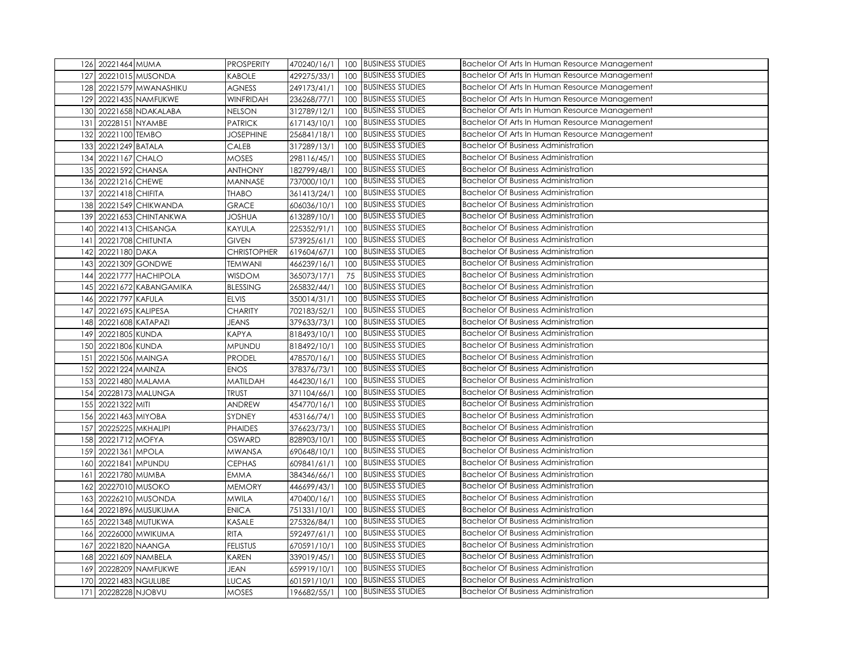| 126 20221464 MUMA           | <b>PROSPERITY</b>  | 470240/16/1 |     | 100 BUSINESS STUDIES    | Bachelor Of Arts In Human Resource Management |
|-----------------------------|--------------------|-------------|-----|-------------------------|-----------------------------------------------|
| 127<br>20221015 MUSONDA     | KABOLE             | 429275/33/1 | 100 | <b>BUSINESS STUDIES</b> | Bachelor Of Arts In Human Resource Management |
| 20221579 MWANASHIKU<br>128  | <b>AGNESS</b>      | 249173/41/1 | 100 | <b>BUSINESS STUDIES</b> | Bachelor Of Arts In Human Resource Management |
| 20221435 NAMFUKWE<br>129    | <b>WINFRIDAH</b>   | 236268/77/1 | 100 | <b>BUSINESS STUDIES</b> | Bachelor Of Arts In Human Resource Management |
| 130<br>20221658 NDAKALABA   | <b>NELSON</b>      | 312789/12/1 | 100 | <b>BUSINESS STUDIES</b> | Bachelor Of Arts In Human Resource Management |
| 20228151 NYAMBE<br>131      | <b>PATRICK</b>     | 617143/10/1 | 100 | <b>BUSINESS STUDIES</b> | Bachelor Of Arts In Human Resource Management |
| 20221100 TEMBO<br>132       | <b>JOSEPHINE</b>   | 256841/18/1 | 100 | <b>BUSINESS STUDIES</b> | Bachelor Of Arts In Human Resource Management |
| 133<br>20221249 BATALA      | CALEB              | 317289/13/1 | 100 | <b>BUSINESS STUDIES</b> | <b>Bachelor Of Business Administration</b>    |
| 20221167 CHALO<br>134       | MOSES              | 298116/45/1 | 100 | <b>BUSINESS STUDIES</b> | <b>Bachelor Of Business Administration</b>    |
| 20221592 CHANSA<br>135      | <b>ANTHONY</b>     | 182799/48/1 | 100 | <b>BUSINESS STUDIES</b> | <b>Bachelor Of Business Administration</b>    |
| 20221216 CHEWE<br>136       | MANNASE            | 737000/10/1 | 100 | <b>BUSINESS STUDIES</b> | <b>Bachelor Of Business Administration</b>    |
| 20221418 CHIFITA<br>137     | <b>THABO</b>       | 361413/24/1 | 100 | <b>BUSINESS STUDIES</b> | <b>Bachelor Of Business Administration</b>    |
| 138<br>20221549 CHIKWANDA   | <b>GRACE</b>       | 606036/10/1 | 100 | <b>BUSINESS STUDIES</b> | <b>Bachelor Of Business Administration</b>    |
| 20221653 CHINTANKWA<br>139  | <b>JOSHUA</b>      | 613289/10/1 |     | 100 BUSINESS STUDIES    | <b>Bachelor Of Business Administration</b>    |
| 20221413 CHISANGA<br>140    | KAYULA             | 225352/91/1 | 100 | <b>BUSINESS STUDIES</b> | <b>Bachelor Of Business Administration</b>    |
| 20221708 CHITUNTA<br>141    | <b>GIVEN</b>       | 573925/61/1 | 100 | <b>BUSINESS STUDIES</b> | <b>Bachelor Of Business Administration</b>    |
| 20221180 DAKA<br>142        | <b>CHRISTOPHER</b> | 619604/67/1 | 100 | <b>BUSINESS STUDIES</b> | <b>Bachelor Of Business Administration</b>    |
| 20221309 GONDWE<br>143      | <b>TEMWANI</b>     | 466239/16/1 | 100 | <b>BUSINESS STUDIES</b> | <b>Bachelor Of Business Administration</b>    |
| 20221777 HACHIPOLA<br>144   | <b>WISDOM</b>      | 365073/17/1 | 75  | <b>BUSINESS STUDIES</b> | <b>Bachelor Of Business Administration</b>    |
| 20221672 KABANGAMIKA<br>145 | <b>BLESSING</b>    | 265832/44/1 | 100 | <b>BUSINESS STUDIES</b> | <b>Bachelor Of Business Administration</b>    |
| 20221797 KAFULA<br>146      | <b>ELVIS</b>       | 350014/31/1 | 100 | <b>BUSINESS STUDIES</b> | <b>Bachelor Of Business Administration</b>    |
| 20221695 KALIPESA<br>147    | <b>CHARITY</b>     | 702183/52/1 |     | 100 BUSINESS STUDIES    | <b>Bachelor Of Business Administration</b>    |
| 148<br>20221608 KATAPAZI    | <b>JEANS</b>       | 379633/73/1 | 100 | <b>BUSINESS STUDIES</b> | <b>Bachelor Of Business Administration</b>    |
| 20221805 KUNDA<br>149       | <b>KAPYA</b>       | 818493/10/1 | 100 | <b>BUSINESS STUDIES</b> | <b>Bachelor Of Business Administration</b>    |
| 20221806 KUNDA<br>150       | MPUNDU             | 818492/10/1 | 100 | <b>BUSINESS STUDIES</b> | <b>Bachelor Of Business Administration</b>    |
| 20221506 MAINGA<br>151      | <b>PRODEL</b>      | 478570/16/1 | 100 | <b>BUSINESS STUDIES</b> | <b>Bachelor Of Business Administration</b>    |
| 152<br>20221224 MAINZA      | <b>ENOS</b>        | 378376/73/1 | 100 | <b>BUSINESS STUDIES</b> | Bachelor Of Business Administration           |
| 20221480 MALAMA<br>153      | MATILDAH           | 464230/16/1 | 100 | <b>BUSINESS STUDIES</b> | <b>Bachelor Of Business Administration</b>    |
| 154<br>20228173 MALUNGA     | <b>TRUST</b>       | 371104/66/1 | 100 | <b>BUSINESS STUDIES</b> | <b>Bachelor Of Business Administration</b>    |
| 20221322 MITI<br>155        | ANDREW             | 454770/16/1 |     | 100 BUSINESS STUDIES    | <b>Bachelor Of Business Administration</b>    |
| 156<br>20221463 MIYOBA      | SYDNEY             | 453166/74/1 | 100 | <b>BUSINESS STUDIES</b> | <b>Bachelor Of Business Administration</b>    |
| 20225225 MKHALIPI<br>157    | <b>PHAIDES</b>     | 376623/73/1 | 100 | <b>BUSINESS STUDIES</b> | <b>Bachelor Of Business Administration</b>    |
| 20221712 MOFYA<br>158       | OSWARD             | 828903/10/1 | 100 | <b>BUSINESS STUDIES</b> | <b>Bachelor Of Business Administration</b>    |
| 20221361 MPOLA<br>159       | <b>MWANSA</b>      | 690648/10/1 | 100 | <b>BUSINESS STUDIES</b> | <b>Bachelor Of Business Administration</b>    |
| 20221841 MPUNDU<br>160      | <b>CEPHAS</b>      | 609841/61/1 | 100 | <b>BUSINESS STUDIES</b> | <b>Bachelor Of Business Administration</b>    |
| 20221780 MUMBA<br>161       | EMMA               | 384346/66/1 | 100 | <b>BUSINESS STUDIES</b> | <b>Bachelor Of Business Administration</b>    |
| 20227010 MUSOKO<br>162      | <b>MEMORY</b>      | 446699/43/1 | 100 | <b>BUSINESS STUDIES</b> | <b>Bachelor Of Business Administration</b>    |
| 20226210 MUSONDA<br>163     | MWILA              | 470400/16/1 |     | 100 BUSINESS STUDIES    | <b>Bachelor Of Business Administration</b>    |
| 20221896 MUSUKUMA<br>164    | <b>ENICA</b>       | 751331/10/1 | 100 | <b>BUSINESS STUDIES</b> | <b>Bachelor Of Business Administration</b>    |
| 20221348 MUTUKWA<br>165     | KASALE             | 275326/84/1 | 100 | <b>BUSINESS STUDIES</b> | <b>Bachelor Of Business Administration</b>    |
| 20226000 MWIKUMA<br>166     | <b>RITA</b>        | 592497/61/1 | 100 | <b>BUSINESS STUDIES</b> | <b>Bachelor Of Business Administration</b>    |
| 20221820 NAANGA<br>167      | <b>FELISTUS</b>    | 670591/10/1 | 100 | <b>BUSINESS STUDIES</b> | <b>Bachelor Of Business Administration</b>    |
| 20221609 NAMBELA<br>168     | KAREN              | 339019/45/1 | 100 | <b>BUSINESS STUDIES</b> | Bachelor Of Business Administration           |
| 20228209 NAMFUKWE<br>169    | <b>JEAN</b>        | 659919/10/1 | 100 | <b>BUSINESS STUDIES</b> | <b>Bachelor Of Business Administration</b>    |
| 170<br>20221483 NGULUBE     | <b>LUCAS</b>       | 601591/10/1 | 100 | <b>BUSINESS STUDIES</b> | <b>Bachelor Of Business Administration</b>    |
| 171 20228228 NJOBVU         | <b>MOSES</b>       | 196682/55/1 |     | 100 BUSINESS STUDIES    | <b>Bachelor Of Business Administration</b>    |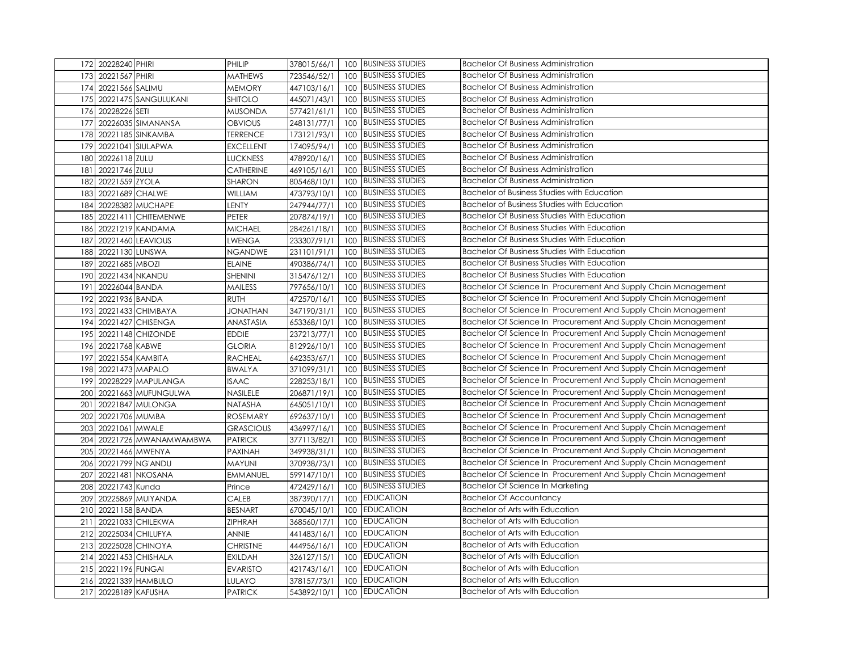| 172 20228240 PHIRI           | PHILIP           | 378015/66/1 |     | 100 BUSINESS STUDIES    | <b>Bachelor Of Business Administration</b>                     |
|------------------------------|------------------|-------------|-----|-------------------------|----------------------------------------------------------------|
| 20221567 PHIRI<br>173        | MATHEWS          | 723546/52/1 |     | 100 BUSINESS STUDIES    | <b>Bachelor Of Business Administration</b>                     |
| 174<br>20221566 SALIMU       | <b>MEMORY</b>    | 447103/16/1 | 100 | <b>BUSINESS STUDIES</b> | <b>Bachelor Of Business Administration</b>                     |
| 20221475 SANGULUKANI<br>175  | <b>SHITOLO</b>   | 445071/43/1 |     | 100 BUSINESS STUDIES    | <b>Bachelor Of Business Administration</b>                     |
| 20228226 SETI<br>176         | <b>MUSONDA</b>   | 577421/61/1 | 100 | <b>BUSINESS STUDIES</b> | <b>Bachelor Of Business Administration</b>                     |
| 20226035 SIMANANSA<br>177    | <b>OBVIOUS</b>   | 248131/77/1 |     | 100 BUSINESS STUDIES    | <b>Bachelor Of Business Administration</b>                     |
| 20221185 SINKAMBA<br>178     | <b>TERRENCE</b>  | 173121/93/1 | 100 | <b>BUSINESS STUDIES</b> | <b>Bachelor Of Business Administration</b>                     |
| 20221041 SIULAPWA<br>179     | <b>EXCELLENT</b> | 174095/94/1 | 100 | <b>BUSINESS STUDIES</b> | <b>Bachelor Of Business Administration</b>                     |
| 20226118 ZULU<br>180         | LUCKNESS         | 478920/16/1 | 100 | <b>BUSINESS STUDIES</b> | <b>Bachelor Of Business Administration</b>                     |
| 20221746 ZULU<br>181         | CATHERINE        | 469105/16/1 | 100 | <b>BUSINESS STUDIES</b> | <b>Bachelor Of Business Administration</b>                     |
| 20221559 ZYOLA<br>182        | SHARON           | 805468/10/1 | 100 | <b>BUSINESS STUDIES</b> | <b>Bachelor Of Business Administration</b>                     |
| 20221689 CHALWE<br>183       | <b>WILLIAM</b>   | 473793/10/1 | 100 | <b>BUSINESS STUDIES</b> | <b>Bachelor of Business Studies with Education</b>             |
| 20228382 MUCHAPE<br>184      | LENTY            | 247944/77/1 | 100 | <b>BUSINESS STUDIES</b> | <b>Bachelor of Business Studies with Education</b>             |
| 20221411 CHITEMENWE<br>185   | PETER            | 207874/19/1 |     | 100 BUSINESS STUDIES    | <b>Bachelor Of Business Studies With Education</b>             |
| 20221219 KANDAMA<br>186      | <b>MICHAEL</b>   | 284261/18/1 | 100 | <b>BUSINESS STUDIES</b> | <b>Bachelor Of Business Studies With Education</b>             |
| 20221460 LEAVIOUS<br>187     | LWENGA           | 233307/91/1 | 100 | <b>BUSINESS STUDIES</b> | <b>Bachelor Of Business Studies With Education</b>             |
| 188<br>20221130 LUNSWA       | NGANDWE          | 231101/91/1 | 100 | <b>BUSINESS STUDIES</b> | <b>Bachelor Of Business Studies With Education</b>             |
| 20221685 MBOZI<br>189        | <b>ELAINE</b>    | 490386/74/1 | 100 | <b>BUSINESS STUDIES</b> | <b>Bachelor Of Business Studies With Education</b>             |
| 190<br>20221434 NKANDU       | SHENINI          | 315476/12/1 | 100 | <b>BUSINESS STUDIES</b> | <b>Bachelor Of Business Studies With Education</b>             |
| 191<br>20226044 BANDA        | MAILESS          | 797656/10/1 | 100 | <b>BUSINESS STUDIES</b> | Bachelor Of Science In Procurement And Supply Chain Management |
| 192<br>20221936 BANDA        | <b>RUTH</b>      | 472570/16/1 | 100 | <b>BUSINESS STUDIES</b> | Bachelor Of Science In Procurement And Supply Chain Management |
| 20221433 CHIMBAYA<br>193     | <b>JONATHAN</b>  | 347190/31/1 |     | 100 BUSINESS STUDIES    | Bachelor Of Science In Procurement And Supply Chain Management |
| 194<br>20221427 CHISENGA     | <b>ANASTASIA</b> | 653368/10/1 | 100 | <b>BUSINESS STUDIES</b> | Bachelor Of Science In Procurement And Supply Chain Management |
| 20221148 CHIZONDE<br>195     | <b>EDDIE</b>     | 237213/77/1 | 100 | <b>BUSINESS STUDIES</b> | Bachelor Of Science In Procurement And Supply Chain Management |
| 20221768 KABWE<br>196        | <b>GLORIA</b>    | 812926/10/1 | 100 | <b>BUSINESS STUDIES</b> | Bachelor Of Science In Procurement And Supply Chain Management |
| 197<br>20221554 KAMBITA      | <b>RACHEAL</b>   | 642353/67/1 | 100 | <b>BUSINESS STUDIES</b> | Bachelor Of Science In Procurement And Supply Chain Management |
| 198<br>20221473 MAPALO       | <b>BWALYA</b>    | 371099/31/1 | 100 | <b>BUSINESS STUDIES</b> | Bachelor Of Science In Procurement And Supply Chain Management |
| 20228229 MAPULANGA<br>199    | <b>ISAAC</b>     | 228253/18/1 | 100 | <b>BUSINESS STUDIES</b> | Bachelor Of Science In Procurement And Supply Chain Management |
| 20221663 MUFUNGULWA<br>200   | NASILELE         | 206871/19/1 | 100 | <b>BUSINESS STUDIES</b> | Bachelor Of Science In Procurement And Supply Chain Management |
| 201<br>20221847 MULONGA      | NATASHA          | 645051/10/1 |     | 100 BUSINESS STUDIES    | Bachelor Of Science In Procurement And Supply Chain Management |
| 202<br>20221706 MUMBA        | <b>ROSEMARY</b>  | 692637/10/1 | 100 | <b>BUSINESS STUDIES</b> | Bachelor Of Science In Procurement And Supply Chain Management |
| 203<br>20221061 MWALE        | <b>GRASCIOUS</b> | 436997/16/1 | 100 | <b>BUSINESS STUDIES</b> | Bachelor Of Science In Procurement And Supply Chain Management |
| 204<br>20221726 MWANAMWAMBWA | <b>PATRICK</b>   | 377113/82/1 | 100 | <b>BUSINESS STUDIES</b> | Bachelor Of Science In Procurement And Supply Chain Management |
| 20221466 MWENYA<br>205       | PAXINAH          | 349938/31/1 | 100 | <b>BUSINESS STUDIES</b> | Bachelor Of Science In Procurement And Supply Chain Management |
| 20221799 NG'ANDU<br>206      | MAYUNI           | 370938/73/1 | 100 | <b>BUSINESS STUDIES</b> | Bachelor Of Science In Procurement And Supply Chain Management |
| 207<br>20221481 NKOSANA      | EMMANUEL         | 599147/10/1 | 100 | <b>BUSINESS STUDIES</b> | Bachelor Of Science In Procurement And Supply Chain Management |
| 20221743 Kunda<br>208        | Prince           | 472429/16/1 | 100 | <b>BUSINESS STUDIES</b> | Bachelor Of Science In Marketing                               |
| 209<br>20225869 MUIYANDA     | CALEB            | 387390/17/1 |     | 100 EDUCATION           | <b>Bachelor Of Accountancy</b>                                 |
| 210<br>20221158 BANDA        | <b>BESNART</b>   | 670045/10/1 | 100 | <b>EDUCATION</b>        | <b>Bachelor of Arts with Education</b>                         |
| 211<br>20221033 CHILEKWA     | <b>ZIPHRAH</b>   | 368560/17/1 | 100 | <b>EDUCATION</b>        | Bachelor of Arts with Education                                |
| 212<br>20225034 CHILUFYA     | ANNIE            | 441483/16/1 | 100 | <b>EDUCATION</b>        | <b>Bachelor of Arts with Education</b>                         |
| 20225028 CHINOYA<br>213      | <b>CHRISTNE</b>  | 444956/16/1 | 100 | <b>EDUCATION</b>        | Bachelor of Arts with Education                                |
| 20221453 CHISHALA<br>214     | <b>EXILDAH</b>   | 326127/15/1 | 100 | <b>EDUCATION</b>        | Bachelor of Arts with Education                                |
| 215<br>20221196 FUNGAI       | <b>EVARISTO</b>  | 421743/16/1 | 100 | <b>EDUCATION</b>        | <b>Bachelor of Arts with Education</b>                         |
| 216<br>20221339 HAMBULO      | LULAYO           | 378157/73/1 | 100 | <b>EDUCATION</b>        | Bachelor of Arts with Education                                |
| 217 20228189 KAFUSHA         | <b>PATRICK</b>   | 543892/10/1 |     | 100 EDUCATION           | <b>Bachelor of Arts with Education</b>                         |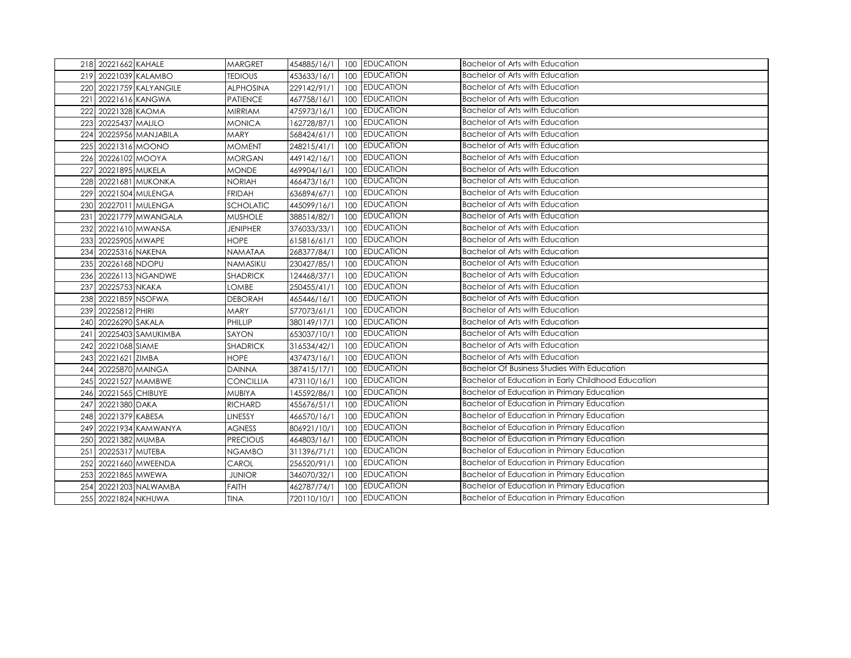|     | 218 20221662 KAHALE     | <b>MARGRET</b>   | 454885/16/1 | <b>EDUCATION</b><br>100 | Bachelor of Arts with Education                    |
|-----|-------------------------|------------------|-------------|-------------------------|----------------------------------------------------|
|     | 219 20221039 KALAMBO    | <b>TEDIOUS</b>   | 453633/16/1 | <b>EDUCATION</b><br>100 | Bachelor of Arts with Education                    |
|     | 220 20221759 KALYANGILE | <b>ALPHOSINA</b> | 229142/91/1 | <b>EDUCATION</b><br>100 | <b>Bachelor of Arts with Education</b>             |
| 221 | 20221616 KANGWA         | PATIENCE         | 467758/16/1 | <b>EDUCATION</b><br>100 | <b>Bachelor of Arts with Education</b>             |
| 222 | 20221328 KAOMA          | <b>MIRRIAM</b>   | 475973/16/1 | <b>EDUCATION</b><br>100 | Bachelor of Arts with Education                    |
| 223 | 20225437 MALILO         | <b>MONICA</b>    | 162728/87/1 | <b>EDUCATION</b><br>100 | Bachelor of Arts with Education                    |
|     | 224 20225956 MANJABILA  | <b>MARY</b>      | 568424/61/1 | <b>EDUCATION</b><br>100 | Bachelor of Arts with Education                    |
|     | 225 20221316 MOONO      | <b>MOMENT</b>    | 248215/41/1 | <b>EDUCATION</b><br>100 | Bachelor of Arts with Education                    |
| 226 | 20226102 MOOYA          | <b>MORGAN</b>    | 449142/16/1 | <b>EDUCATION</b><br>100 | Bachelor of Arts with Education                    |
| 227 | 20221895 MUKELA         | <b>MONDE</b>     | 469904/16/1 | <b>EDUCATION</b><br>100 | <b>Bachelor of Arts with Education</b>             |
|     | 228 20221681 MUKONKA    | <b>NORIAH</b>    | 466473/16/1 | <b>EDUCATION</b><br>100 | <b>Bachelor of Arts with Education</b>             |
|     | 229 20221504 MULENGA    | <b>FRIDAH</b>    | 636894/67/1 | <b>EDUCATION</b><br>100 | <b>Bachelor of Arts with Education</b>             |
|     | 230 20227011 MULENGA    | SCHOLATIC        | 445099/16/1 | <b>EDUCATION</b><br>100 | Bachelor of Arts with Education                    |
|     | 231 20221779 MWANGALA   | <b>MUSHOLE</b>   | 388514/82/1 | <b>EDUCATION</b><br>100 | <b>Bachelor of Arts with Education</b>             |
|     | 232 20221610 MWANSA     | <b>JENIPHER</b>  | 376033/33/1 | <b>EDUCATION</b><br>100 | <b>Bachelor of Arts with Education</b>             |
|     | 233 20225905 MWAPE      | <b>HOPE</b>      | 615816/61/1 | <b>EDUCATION</b><br>100 | <b>Bachelor of Arts with Education</b>             |
|     | 234 20225316 NAKENA     | NAMATAA          | 268377/84/1 | <b>EDUCATION</b><br>100 | <b>Bachelor of Arts with Education</b>             |
|     | 235 20226168 NDOPU      | NAMASIKU         | 230427/85/1 | <b>EDUCATION</b><br>100 | Bachelor of Arts with Education                    |
|     | 236 20226113 NGANDWE    | SHADRICK         | 124468/37/1 | <b>EDUCATION</b><br>100 | <b>Bachelor of Arts with Education</b>             |
| 237 | 20225753 NKAKA          | <b>LOMBE</b>     | 250455/41/1 | <b>EDUCATION</b><br>100 | Bachelor of Arts with Education                    |
| 238 | 20221859 NSOFWA         | <b>DEBORAH</b>   | 465446/16/1 | <b>EDUCATION</b><br>100 | <b>Bachelor of Arts with Education</b>             |
| 239 | 20225812 PHIRI          | MARY             | 577073/61/1 | <b>EDUCATION</b><br>100 | <b>Bachelor of Arts with Education</b>             |
| 240 | 20226290 SAKALA         | PHILLIP          | 380149/17/1 | <b>EDUCATION</b><br>100 | Bachelor of Arts with Education                    |
| 241 | 20225403 SAMUKIMBA      | SAYON            | 653037/10/1 | <b>EDUCATION</b><br>100 | Bachelor of Arts with Education                    |
| 242 | 20221068 SIAME          | <b>SHADRICK</b>  | 316534/42/1 | <b>EDUCATION</b><br>100 | Bachelor of Arts with Education                    |
| 243 | 20221621 ZIMBA          | <b>HOPE</b>      | 437473/16/1 | <b>EDUCATION</b><br>100 | <b>Bachelor of Arts with Education</b>             |
| 244 | 20225870 MAINGA         | DAINNA           | 387415/17/1 | <b>EDUCATION</b><br>100 | <b>Bachelor Of Business Studies With Education</b> |
| 245 | 20221527 MAMBWE         | <b>CONCILLIA</b> | 473110/16/1 | <b>EDUCATION</b><br>100 | Bachelor of Education in Early Childhood Education |
| 246 | 20221565 CHIBUYE        | MUBIYA           | 145592/86/1 | <b>EDUCATION</b><br>100 | Bachelor of Education in Primary Education         |
| 247 | 20221380 DAKA           | <b>RICHARD</b>   | 455676/51/1 | <b>EDUCATION</b><br>100 | Bachelor of Education in Primary Education         |
|     | 248 20221379 KABESA     | LINESSY          | 466570/16/1 | <b>EDUCATION</b><br>100 | Bachelor of Education in Primary Education         |
|     | 249 20221934 KAMWANYA   | <b>AGNESS</b>    | 806921/10/1 | <b>EDUCATION</b><br>100 | Bachelor of Education in Primary Education         |
|     | 250 20221382 MUMBA      | <b>PRECIOUS</b>  | 464803/16/1 | <b>EDUCATION</b><br>100 | Bachelor of Education in Primary Education         |
| 251 | 20225317 MUTEBA         | <b>NGAMBO</b>    | 311396/71/1 | <b>EDUCATION</b><br>100 | Bachelor of Education in Primary Education         |
|     | 252 20221660 MWEENDA    | CAROL            | 256520/91/1 | <b>EDUCATION</b><br>100 | Bachelor of Education in Primary Education         |
|     | 253 20221865 MWEWA      | <b>JUNIOR</b>    | 346070/32/1 | <b>EDUCATION</b><br>100 | Bachelor of Education in Primary Education         |
| 254 | 20221203 NALWAMBA       | FAITH            | 462787/74/1 | <b>EDUCATION</b><br>100 | Bachelor of Education in Primary Education         |
|     | 255 20221824 NKHUWA     | <b>TINA</b>      | 720110/10/1 | 100 EDUCATION           | Bachelor of Education in Primary Education         |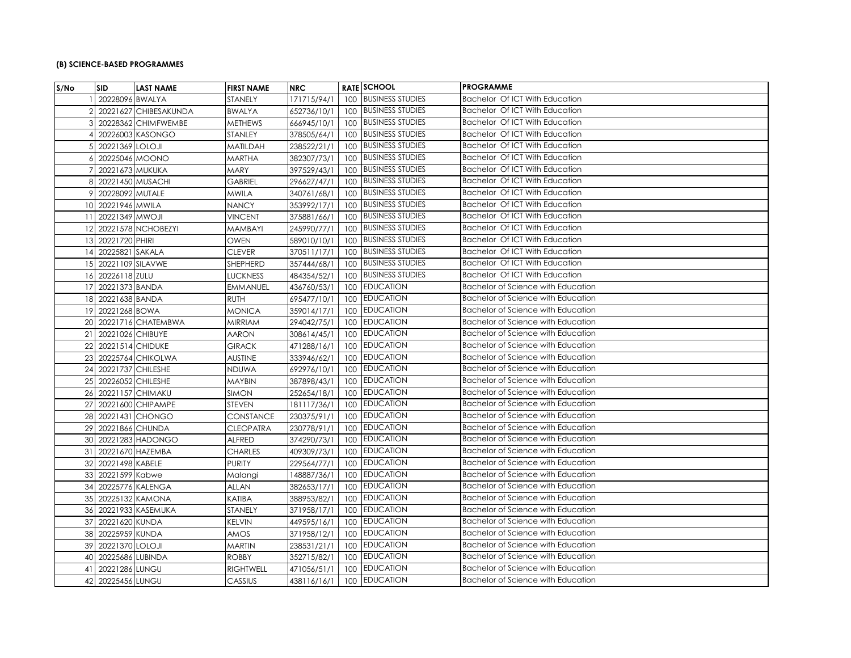## **(B) SCIENCE-BASED PROGRAMMES**

| S/No | SID                  | <b>LAST NAME</b>      | <b>FIRST NAME</b> | <b>NRC</b>  |     | <b>RATE SCHOOL</b>      | <b>PROGRAMME</b>                          |
|------|----------------------|-----------------------|-------------------|-------------|-----|-------------------------|-------------------------------------------|
|      | 20228096 BWALYA      |                       | STANELY           | 171715/94/1 |     | 100 BUSINESS STUDIES    | Bachelor Of ICT With Education            |
|      |                      | 20221627 CHIBESAKUNDA | <b>BWALYA</b>     | 652736/10/1 |     | 100 BUSINESS STUDIES    | Bachelor Of ICT With Education            |
|      |                      | 20228362 CHIMFWEMBE   | <b>METHEWS</b>    | 666945/10/1 |     | 100 BUSINESS STUDIES    | Bachelor Of ICT With Education            |
|      |                      | 20226003 KASONGO      | STANLEY           | 378505/64/1 |     | 100 BUSINESS STUDIES    | Bachelor Of ICT With Education            |
|      | 20221369 LOLOJI      |                       | MATILDAH          | 238522/21/1 |     | 100 BUSINESS STUDIES    | Bachelor Of ICT With Education            |
|      | 20225046 MOONO       |                       | <b>MARTHA</b>     | 382307/73/1 | 100 | <b>BUSINESS STUDIES</b> | Bachelor Of ICT With Education            |
|      | 20221673 MUKUKA      |                       | MARY              | 397529/43/1 | 100 | <b>BUSINESS STUDIES</b> | Bachelor Of ICT With Education            |
| 8    | 20221450 MUSACHI     |                       | <b>GABRIEL</b>    | 296627/47/1 | 100 | <b>BUSINESS STUDIES</b> | Bachelor Of ICT With Education            |
|      | 20228092 MUTALE      |                       | MWILA             | 340761/68/1 |     | 100 BUSINESS STUDIES    | Bachelor Of ICT With Education            |
|      | 10 20221946 MWILA    |                       | <b>NANCY</b>      | 353992/17/1 | 100 | <b>BUSINESS STUDIES</b> | Bachelor Of ICT With Education            |
| 11   | 20221349 MWOJI       |                       | <b>VINCENT</b>    | 375881/66/1 | 100 | <b>BUSINESS STUDIES</b> | Bachelor Of ICT With Education            |
|      |                      | 12 20221578 NCHOBEZYI | MAMBAYI           | 245990/77/1 |     | 100 BUSINESS STUDIES    | Bachelor Of ICT With Education            |
|      | 13 20221720 PHIRI    |                       | OWEN              | 589010/10/1 | 100 | <b>BUSINESS STUDIES</b> | Bachelor Of ICT With Education            |
|      | 14 20225821 SAKALA   |                       | <b>CLEVER</b>     | 370511/17/1 | 100 | <b>BUSINESS STUDIES</b> | Bachelor Of ICT With Education            |
|      | 15 20221109 SILAVWE  |                       | SHEPHERD          | 357444/68/1 | 100 | <b>BUSINESS STUDIES</b> | Bachelor Of ICT With Education            |
|      | 16 20226118 ZULU     |                       | <b>LUCKNESS</b>   | 484354/52/1 | 100 | <b>BUSINESS STUDIES</b> | Bachelor Of ICT With Education            |
| 17   | 20221373 BANDA       |                       | <b>EMMANUEL</b>   | 436760/53/1 |     | 100 EDUCATION           | <b>Bachelor of Science with Education</b> |
|      | 18 20221638 BANDA    |                       | <b>RUTH</b>       | 695477/10/1 | 100 | <b>EDUCATION</b>        | Bachelor of Science with Education        |
|      | 19 20221268 BOWA     |                       | <b>MONICA</b>     | 359014/17/1 | 100 | <b>EDUCATION</b>        | Bachelor of Science with Education        |
|      |                      | 20 20221716 CHATEMBWA | <b>MIRRIAM</b>    | 294042/75/1 |     | 100 EDUCATION           | Bachelor of Science with Education        |
| 21   | 20221026 CHIBUYE     |                       | AARON             | 308614/45/1 | 100 | <b>EDUCATION</b>        | <b>Bachelor of Science with Education</b> |
| 22   | 20221514 CHIDUKE     |                       | <b>GIRACK</b>     | 471288/16/1 | 100 | <b>EDUCATION</b>        | Bachelor of Science with Education        |
| 23   |                      | 20225764 CHIKOLWA     | <b>AUSTINE</b>    | 333946/62/1 |     | 100 EDUCATION           | Bachelor of Science with Education        |
| 24   | 20221737 CHILESHE    |                       | <b>NDUWA</b>      | 692976/10/1 | 100 | <b>EDUCATION</b>        | Bachelor of Science with Education        |
|      | 25 20226052 CHILESHE |                       | <b>MAYBIN</b>     | 387898/43/1 | 100 | <b>EDUCATION</b>        | Bachelor of Science with Education        |
| 26   | 20221157 CHIMAKU     |                       | <b>SIMON</b>      | 252654/18/1 |     | 100 EDUCATION           | Bachelor of Science with Education        |
| 27   |                      | 20221600 CHIPAMPE     | STEVEN            | 181117/36/1 |     | 100 EDUCATION           | Bachelor of Science with Education        |
|      |                      | 28 20221431 CHONGO    | <b>CONSTANCE</b>  | 230375/91/1 | 100 | <b>EDUCATION</b>        | Bachelor of Science with Education        |
| 29   | 20221866 CHUNDA      |                       | <b>CLEOPATRA</b>  | 230778/91/1 | 100 | <b>EDUCATION</b>        | <b>Bachelor of Science with Education</b> |
|      |                      | 30 20221283 HADONGO   | <b>ALFRED</b>     | 374290/73/1 |     | 100 EDUCATION           | <b>Bachelor of Science with Education</b> |
| 31   | 20221670 HAZEMBA     |                       | <b>CHARLES</b>    | 409309/73/1 | 100 | <b>EDUCATION</b>        | Bachelor of Science with Education        |
|      | 32 20221498 KABELE   |                       | <b>PURITY</b>     | 229564/77/1 | 100 | <b>EDUCATION</b>        | <b>Bachelor of Science with Education</b> |
|      | 33 20221599 Kabwe    |                       | Malangi           | 148887/36/1 | 100 | <b>EDUCATION</b>        | <b>Bachelor of Science with Education</b> |
|      | 34 20225776 KALENGA  |                       | ALLAN             | 382653/17/1 |     | 100 EDUCATION           | <b>Bachelor of Science with Education</b> |
|      | 35 20225132 KAMONA   |                       | KATIBA            | 388953/82/1 | 100 | <b>EDUCATION</b>        | Bachelor of Science with Education        |
|      |                      | 36 20221933 KASEMUKA  | STANELY           | 371958/17/1 | 100 | <b>EDUCATION</b>        | Bachelor of Science with Education        |
| 37   | 20221620 KUNDA       |                       | KELVIN            | 449595/16/1 | 100 | <b>EDUCATION</b>        | Bachelor of Science with Education        |
| 38   | 20225959 KUNDA       |                       | AMOS              | 371958/12/1 |     | 100 EDUCATION           | Bachelor of Science with Education        |
| 39   | 20221370 LOLOJI      |                       | <b>MARTIN</b>     | 238531/21/1 | 100 | <b>EDUCATION</b>        | <b>Bachelor of Science with Education</b> |
| 40   | 20225686 LUBINDA     |                       | <b>ROBBY</b>      | 352715/82/1 | 100 | <b>EDUCATION</b>        | <b>Bachelor of Science with Education</b> |
| 41   | 20221286 LUNGU       |                       | <b>RIGHTWELL</b>  | 471056/51/1 | 100 | <b>EDUCATION</b>        | <b>Bachelor of Science with Education</b> |
| 42   | 20225456 LUNGU       |                       | CASSIUS           | 438116/16/1 |     | 100 EDUCATION           | Bachelor of Science with Education        |